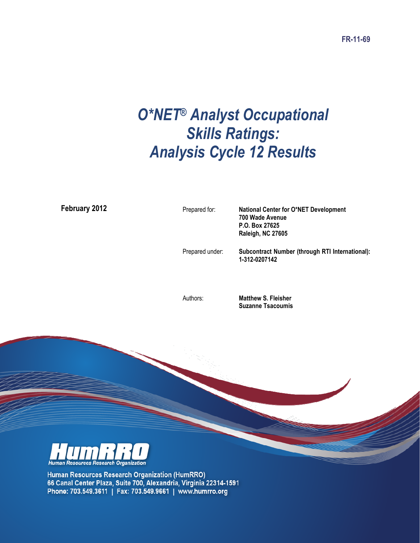# O\*NET® Analyst Occupational Skills Ratings: Analysis Cycle 12 Results

February 2012

Prepared for: National Center for O\*NET Development 700 Wade Avenue P.O. Box 27625 Raleigh, NC 27605 Prepared under: Subcontract Number (through RTI International): 1-312-0207142

Authors: Matthew S. Fleisher Suzanne Tsacoumis



Human Resources Research Organization (HumRRO) 66 Canal Center Plaza, Suite 700, Alexandria, Virginia 22314-1591 Phone: 703.549.3611 | Fax: 703.549.9661 | www.humrro.org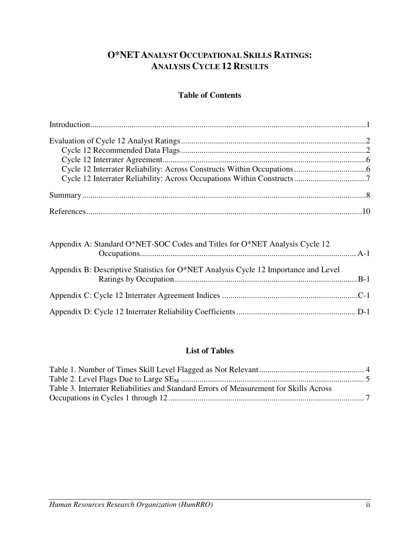## **O\*NETANALYST OCCUPATIONAL SKILLS RATINGS: ANALYSIS CYCLE 12 RESULTS**

### **Table of Contents**

| Appendix A: Standard O*NET-SOC Codes and Titles for O*NET Analysis Cycle 12         |  |
|-------------------------------------------------------------------------------------|--|
| Appendix B: Descriptive Statistics for O*NET Analysis Cycle 12 Importance and Level |  |
|                                                                                     |  |
|                                                                                     |  |

## **List of Tables**

| Table 3. Interrater Reliabilities and Standard Errors of Measurement for Skills Across |  |
|----------------------------------------------------------------------------------------|--|
|                                                                                        |  |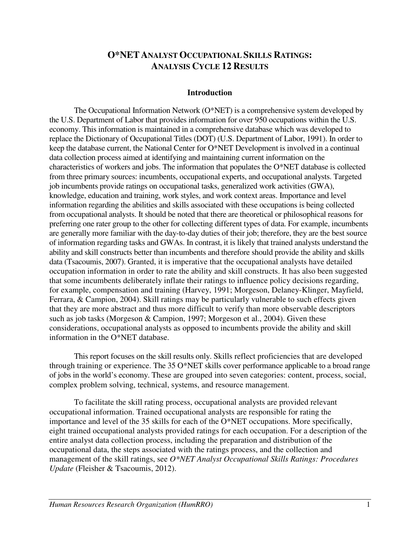## **O\*NETANALYST OCCUPATIONAL SKILLS RATINGS: ANALYSIS CYCLE 12 RESULTS**

#### **Introduction**

The Occupational Information Network (O\*NET) is a comprehensive system developed by the U.S. Department of Labor that provides information for over 950 occupations within the U.S. economy. This information is maintained in a comprehensive database which was developed to replace the Dictionary of Occupational Titles (DOT) (U.S. Department of Labor, 1991). In order to keep the database current, the National Center for O\*NET Development is involved in a continual data collection process aimed at identifying and maintaining current information on the characteristics of workers and jobs. The information that populates the O\*NET database is collected from three primary sources: incumbents, occupational experts, and occupational analysts. Targeted job incumbents provide ratings on occupational tasks, generalized work activities (GWA), knowledge, education and training, work styles, and work context areas. Importance and level information regarding the abilities and skills associated with these occupations is being collected from occupational analysts. It should be noted that there are theoretical or philosophical reasons for preferring one rater group to the other for collecting different types of data. For example, incumbents are generally more familiar with the day-to-day duties of their job; therefore, they are the best source of information regarding tasks and GWAs. In contrast, it is likely that trained analysts understand the ability and skill constructs better than incumbents and therefore should provide the ability and skills data (Tsacoumis, 2007). Granted, it is imperative that the occupational analysts have detailed occupation information in order to rate the ability and skill constructs. It has also been suggested that some incumbents deliberately inflate their ratings to influence policy decisions regarding, for example, compensation and training (Harvey, 1991; Morgeson, Delaney-Klinger, Mayfield, Ferrara, & Campion, 2004). Skill ratings may be particularly vulnerable to such effects given that they are more abstract and thus more difficult to verify than more observable descriptors such as job tasks (Morgeson & Campion, 1997; Morgeson et al., 2004). Given these considerations, occupational analysts as opposed to incumbents provide the ability and skill information in the O\*NET database.

This report focuses on the skill results only. Skills reflect proficiencies that are developed through training or experience. The 35 O\*NET skills cover performance applicable to a broad range of jobs in the world's economy. These are grouped into seven categories: content, process, social, complex problem solving, technical, systems, and resource management.

To facilitate the skill rating process, occupational analysts are provided relevant occupational information. Trained occupational analysts are responsible for rating the importance and level of the 35 skills for each of the O\*NET occupations. More specifically, eight trained occupational analysts provided ratings for each occupation. For a description of the entire analyst data collection process, including the preparation and distribution of the occupational data, the steps associated with the ratings process, and the collection and management of the skill ratings, see *O\*NET Analyst Occupational Skills Ratings: Procedures Update* (Fleisher & Tsacoumis, 2012).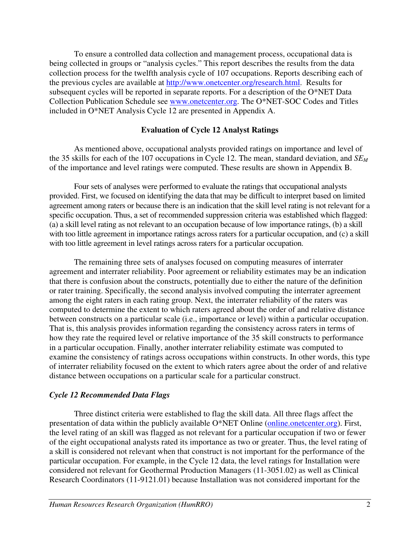To ensure a controlled data collection and management process, occupational data is being collected in groups or "analysis cycles." This report describes the results from the data collection process for the twelfth analysis cycle of 107 occupations. Reports describing each of the previous cycles are available at http://www.onetcenter.org/research.html. Results for subsequent cycles will be reported in separate reports. For a description of the O\*NET Data Collection Publication Schedule see www.onetcenter.org. The O\*NET-SOC Codes and Titles included in O\*NET Analysis Cycle 12 are presented in Appendix A.

#### **Evaluation of Cycle 12 Analyst Ratings**

As mentioned above, occupational analysts provided ratings on importance and level of the 35 skills for each of the 107 occupations in Cycle 12. The mean, standard deviation, and *SE<sup>M</sup>* of the importance and level ratings were computed. These results are shown in Appendix B.

Four sets of analyses were performed to evaluate the ratings that occupational analysts provided. First, we focused on identifying the data that may be difficult to interpret based on limited agreement among raters or because there is an indication that the skill level rating is not relevant for a specific occupation. Thus, a set of recommended suppression criteria was established which flagged: (a) a skill level rating as not relevant to an occupation because of low importance ratings, (b) a skill with too little agreement in importance ratings across raters for a particular occupation, and (c) a skill with too little agreement in level ratings across raters for a particular occupation.

The remaining three sets of analyses focused on computing measures of interrater agreement and interrater reliability. Poor agreement or reliability estimates may be an indication that there is confusion about the constructs, potentially due to either the nature of the definition or rater training. Specifically, the second analysis involved computing the interrater agreement among the eight raters in each rating group. Next, the interrater reliability of the raters was computed to determine the extent to which raters agreed about the order of and relative distance between constructs on a particular scale (i.e., importance or level) within a particular occupation. That is, this analysis provides information regarding the consistency across raters in terms of how they rate the required level or relative importance of the 35 skill constructs to performance in a particular occupation. Finally, another interrater reliability estimate was computed to examine the consistency of ratings across occupations within constructs. In other words, this type of interrater reliability focused on the extent to which raters agree about the order of and relative distance between occupations on a particular scale for a particular construct.

#### *Cycle 12 Recommended Data Flags*

Three distinct criteria were established to flag the skill data. All three flags affect the presentation of data within the publicly available O\*NET Online (online.onetcenter.org). First, the level rating of an skill was flagged as not relevant for a particular occupation if two or fewer of the eight occupational analysts rated its importance as two or greater. Thus, the level rating of a skill is considered not relevant when that construct is not important for the performance of the particular occupation. For example, in the Cycle 12 data, the level ratings for Installation were considered not relevant for Geothermal Production Managers (11-3051.02) as well as Clinical Research Coordinators (11-9121.01) because Installation was not considered important for the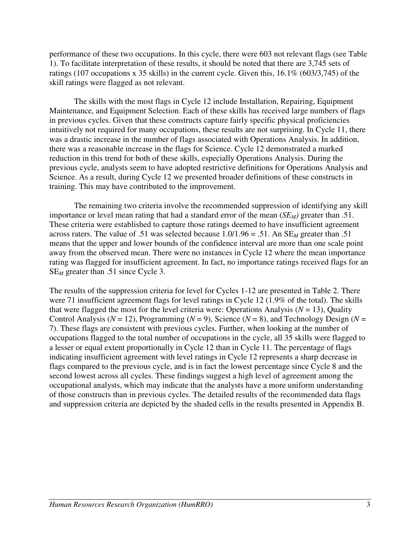performance of these two occupations. In this cycle, there were 603 not relevant flags (see Table 1). To facilitate interpretation of these results, it should be noted that there are 3,745 sets of ratings (107 occupations x 35 skills) in the current cycle. Given this, 16.1% (603/3,745) of the skill ratings were flagged as not relevant.

The skills with the most flags in Cycle 12 include Installation, Repairing, Equipment Maintenance, and Equipment Selection. Each of these skills has received large numbers of flags in previous cycles. Given that these constructs capture fairly specific physical proficiencies intuitively not required for many occupations, these results are not surprising. In Cycle 11, there was a drastic increase in the number of flags associated with Operations Analysis. In addition, there was a reasonable increase in the flags for Science. Cycle 12 demonstrated a marked reduction in this trend for both of these skills, especially Operations Analysis. During the previous cycle, analysts seem to have adopted restrictive definitions for Operations Analysis and Science. As a result, during Cycle 12 we presented broader definitions of these constructs in training. This may have contributed to the improvement.

The remaining two criteria involve the recommended suppression of identifying any skill importance or level mean rating that had a standard error of the mean (*SEM)* greater than .51. These criteria were established to capture those ratings deemed to have insufficient agreement across raters. The value of .51 was selected because  $1.0/1.96 = .51$ . An  $SE_M$  greater than .51 means that the upper and lower bounds of the confidence interval are more than one scale point away from the observed mean. There were no instances in Cycle 12 where the mean importance rating was flagged for insufficient agreement. In fact, no importance ratings received flags for an SE*M* greater than .51 since Cycle 3.

The results of the suppression criteria for level for Cycles 1-12 are presented in Table 2. There were 71 insufficient agreement flags for level ratings in Cycle 12 (1.9% of the total). The skills that were flagged the most for the level criteria were: Operations Analysis ( $N = 13$ ), Quality Control Analysis ( $N = 12$ ), Programming ( $N = 9$ ), Science ( $N = 8$ ), and Technology Design ( $N = 12$ ) 7). These flags are consistent with previous cycles. Further, when looking at the number of occupations flagged to the total number of occupations in the cycle, all 35 skills were flagged to a lesser or equal extent proportionally in Cycle 12 than in Cycle 11. The percentage of flags indicating insufficient agreement with level ratings in Cycle 12 represents a sharp decrease in flags compared to the previous cycle, and is in fact the lowest percentage since Cycle 8 and the second lowest across all cycles. These findings suggest a high level of agreement among the occupational analysts, which may indicate that the analysts have a more uniform understanding of those constructs than in previous cycles. The detailed results of the recommended data flags and suppression criteria are depicted by the shaded cells in the results presented in Appendix B.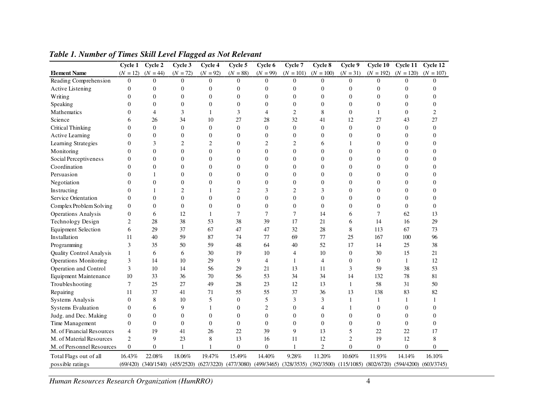|                              | Cycle 1        | Cycle 2    | Cycle 3                                           | Cycle 4        | Cycle 5          | Cycle 6                                | Cycle 7          | Cycle 8                   | Cycle 9        | Cycle 10                               | Cycle 11       | Cycle 12       |
|------------------------------|----------------|------------|---------------------------------------------------|----------------|------------------|----------------------------------------|------------------|---------------------------|----------------|----------------------------------------|----------------|----------------|
| <b>Element Name</b>          | $(N = 12)$     | $(N = 44)$ | $(N = 72)$                                        | $(N = 92)$     | $(N = 88)$       | $(N = 99)$                             | $(N = 101)$      | $(N = 100)$               | $(N = 31)$     | $(N = 192)$                            | $(N = 120)$    | $(N = 107)$    |
| Reading Comprehension        | $\theta$       | $\Omega$   | $\theta$                                          | $\Omega$       | $\theta$         | $\theta$                               | $\Omega$         | $\theta$                  | $\Omega$       | $\Omega$                               | $\theta$       | $\Omega$       |
| Active Listening             | $\overline{0}$ | 0          | $\overline{0}$                                    | $\theta$       | $\boldsymbol{0}$ | $\boldsymbol{0}$                       | $\overline{0}$   | $\overline{0}$            | $\overline{0}$ | $\overline{0}$                         | $\overline{0}$ | 0              |
| Writing                      | $\theta$       | 0          | 0                                                 | $\theta$       | $\overline{0}$   | $\theta$                               | $\boldsymbol{0}$ | $\overline{0}$            | $\overline{0}$ | $\overline{0}$                         | $\overline{0}$ | 0              |
| Speaking                     | 0              | 0          | 0                                                 | $\theta$       | $\overline{0}$   | $\theta$                               | $\overline{0}$   | $\overline{0}$            | $\overline{0}$ | $\theta$                               | $\overline{0}$ | $\overline{0}$ |
| Mathematics                  | 0              | 4          | 3                                                 | 1              | 3                | 4                                      | $\overline{c}$   | 8                         | $\overline{0}$ | 1                                      | $\overline{0}$ | $\overline{c}$ |
| Science                      | 6              | 26         | 34                                                | 10             | 27               | 28                                     | 32               | 41                        | 12             | 27                                     | 43             | 27             |
| Critical Thinking            | $\theta$       | $\theta$   | $\theta$                                          | $\overline{0}$ | $\Omega$         | $\Omega$                               | $\Omega$         | $\theta$                  | $\overline{0}$ | $\theta$                               | $\theta$       | $\overline{0}$ |
| Active Learning              | $\theta$       | $\theta$   | $\overline{0}$                                    | $\overline{0}$ | $\theta$         | $\overline{0}$                         | $\overline{0}$   | $\overline{0}$            | $\overline{0}$ | $\overline{0}$                         | $\overline{0}$ | $\overline{0}$ |
| Learning Strategies          | 0              | 3          | $\overline{c}$                                    | $\mathfrak{2}$ | $\mathbf{0}$     | $\mathfrak{2}$                         | 2                | 6                         |                | $\theta$                               | $\overline{0}$ | $\overline{0}$ |
| Monitoring                   | 0              | 0          | $\overline{0}$                                    | $\theta$       | $\overline{0}$   | $\boldsymbol{0}$                       | $\overline{0}$   | $\boldsymbol{0}$          | 0              | $\theta$                               | $\overline{0}$ | $\overline{0}$ |
| Social Perceptiveness        | $\overline{0}$ | 0          | $\overline{0}$                                    | $\theta$       | $\overline{0}$   | $\overline{0}$                         | $\overline{0}$   | $\overline{0}$            | $\overline{0}$ | $\overline{0}$                         | $\overline{0}$ | $\overline{0}$ |
| Coordination                 | $\Omega$       | 0          | 0                                                 | $\theta$       | $\overline{0}$   | $\theta$                               | $\overline{0}$   | $\overline{0}$            | 0              | $\theta$                               | $\overline{0}$ | $\overline{0}$ |
| Persuasion                   | $\overline{0}$ | 1          | 0                                                 | $\theta$       | $\mathbf{0}$     | $\theta$                               | $\boldsymbol{0}$ | $\overline{0}$            | 0              | $\overline{0}$                         | $\overline{0}$ | $\overline{0}$ |
| Negotiation                  | 0              | $\Omega$   | 0                                                 | $\Omega$       | $\theta$         | $\Omega$                               | $\overline{0}$   | $\theta$                  | $\Omega$       | $\Omega$                               | $\theta$       | 0              |
| Instructing                  | $\Omega$       | 1          | $\overline{c}$                                    | 1              | $\overline{2}$   | 3                                      | $\overline{c}$   | 3                         | $\Omega$       | $\theta$                               | $\theta$       | $\theta$       |
| Service Orientation          | $\Omega$       | $\theta$   | $\overline{0}$                                    | $\theta$       | $\theta$         | $\overline{0}$                         | $\theta$         | $\overline{0}$            | $\theta$       | $\theta$                               | $\theta$       | $\theta$       |
| Complex Problem Solving      | $\theta$       | $\Omega$   | $\theta$                                          | $\overline{0}$ | $\Omega$         | $\theta$                               | $\overline{0}$   | $\theta$                  | $\theta$       | $\theta$                               | $\Omega$       | $\overline{0}$ |
| <b>Operations Analysis</b>   | $\overline{0}$ | 6          | 12                                                | 1              | $\tau$           | $\tau$                                 | $\overline{7}$   | 14                        | 6              | $\overline{7}$                         | 62             | 13             |
| Technology Design            | 2              | 28         | 38                                                | 53             | 38               | 39                                     | 17               | 21                        | 6              | 14                                     | 16             | 29             |
| <b>Equipment Selection</b>   | 6              | 29         | 37                                                | 67             | 47               | 47                                     | 32               | 28                        | 8              | 113                                    | 67             | 73             |
| Installation                 | 11             | 40         | 59                                                | 87             | 74               | 77                                     | 69               | 77                        | 25             | 167                                    | 100            | 96             |
| Programming                  | 3              | 35         | 50                                                | 59             | 48               | 64                                     | 40               | 52                        | 17             | 14                                     | 25             | 38             |
| Quality Control Analysis     | 1              | 6          | 6                                                 | 30             | 19               | 10                                     | $\overline{4}$   | 10                        | $\overline{0}$ | 30                                     | 15             | 21             |
| <b>Operations Monitoring</b> | 3              | 14         | 10                                                | 29             | 9                | $\overline{4}$                         | 1                | $\overline{4}$            | $\overline{0}$ | $\overline{0}$                         | $\mathbf{1}$   | 12             |
| Operation and Control        | 3              | 10         | 14                                                | 56             | 29               | 21                                     | 13               | 11                        | 3              | 59                                     | 38             | 53             |
| <b>Equipment Maintenance</b> | 10             | 33         | 36                                                | 70             | 56               | 53                                     | 34               | 34                        | 14             | 132                                    | 78             | 81             |
| Troubleshooting              | 7              | 25         | 27                                                | 49             | 28               | 23                                     | 12               | 13                        | 1              | 58                                     | 31             | 50             |
| Repairing                    | 11             | 37         | 41                                                | 71             | 55               | 55                                     | 37               | 36                        | 13             | 138                                    | 83             | 82             |
| Systems Analysis             | $\overline{0}$ | 8          | 10                                                | 5              | $\mathbf{0}$     | 5                                      | 3                | 3                         | 1              | 1                                      | 1              | 1              |
| Systems Evaluation           | $\overline{0}$ | 6          | 9                                                 | 1              | $\mathbf{0}$     | $\overline{2}$                         | $\mathbf{0}$     | 4                         | 1              | $\overline{0}$                         | $\mathbf{0}$   | $\overline{0}$ |
| Judg. and Dec. Making        | $\overline{0}$ | $\theta$   | $\overline{0}$                                    | $\overline{0}$ | $\theta$         | $\overline{0}$                         | $\overline{0}$   | $\overline{0}$            | $\overline{0}$ | $\theta$                               | $\overline{0}$ | $\overline{0}$ |
| Time Management              | $\overline{0}$ | $\theta$   | $\overline{0}$                                    | $\overline{0}$ | $\theta$         | $\overline{0}$                         | $\overline{0}$   | $\overline{0}$            | $\overline{0}$ | $\theta$                               | $\overline{0}$ | $\overline{0}$ |
| M. of Financial Resources    | 4              | 19         | 41                                                | 26             | 22               | 39                                     | 9                | 13                        | 5              | 22                                     | 22             | 17             |
| M. of Material Resources     | $\overline{2}$ | 9          | 23                                                | 8              | 13               | 16                                     | 11               | 12                        | $\overline{c}$ | 19                                     | 12             | 8              |
| M. of Personnel Resources    | $\overline{0}$ | 0          | $\mathbf{1}$                                      | $\mathbf{1}$   | $\boldsymbol{0}$ | $\overline{0}$                         |                  | $\overline{c}$            | $\overline{0}$ | $\overline{0}$                         | $\theta$       | $\theta$       |
| Total Flags out of all       | 16.43%         | 22.08%     | 18.06%                                            | 19.47%         | 15.49%           | 14.40%                                 | 9.28%            | 11.20%                    | 10.60%         | 11.93%                                 | 14.14%         | 16.10%         |
| possible ratings             |                |            | $(69/420)$ $(340/1540)$ $(455/2520)$ $(627/3220)$ |                |                  | $(477/3080)$ $(499/3465)$ $(328/3535)$ |                  | $(392/3500)$ $(115/1085)$ |                | $(802/6720)$ $(594/4200)$ $(603/3745)$ |                |                |

#### *Table 1. Number of Times Skill Level Flagged as Not Relevant*

*Human Resources Research Organization (HumRRO)*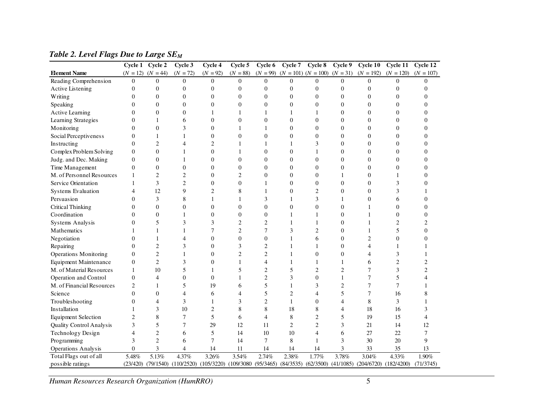|                              |                  | Cycle 1 Cycle 2       | Cycle 3                                                      | Cycle 4          | Cycle 5          | Cycle 6        | Cycle 7                            | Cycle 8                             | Cycle 9          | Cycle 10         | Cycle 11                  | Cycle 12         |
|------------------------------|------------------|-----------------------|--------------------------------------------------------------|------------------|------------------|----------------|------------------------------------|-------------------------------------|------------------|------------------|---------------------------|------------------|
| <b>Element Name</b>          |                  | $(N = 12)$ $(N = 44)$ | $(N = 72)$                                                   | $(N = 92)$       | $(N = 88)$       | $(N = 99)$     | $(N = 101)$ $(N = 100)$ $(N = 31)$ |                                     |                  | $(N = 192)$      | $(N = 120)$               | $(N = 107)$      |
| Reading Comprehension        | $\theta$         | $\theta$              | $\overline{0}$                                               | $\Omega$         | $\theta$         | $\theta$       | $\theta$                           | $\overline{0}$                      | $\Omega$         | $\overline{0}$   | $\Omega$                  | $\theta$         |
| <b>Active Listening</b>      | $\overline{0}$   | $\boldsymbol{0}$      | $\overline{0}$                                               | $\overline{0}$   | $\overline{0}$   | $\overline{0}$ | $\boldsymbol{0}$                   | $\overline{0}$                      | $\mathbf{0}$     | $\overline{0}$   | $\boldsymbol{0}$          | $\overline{0}$   |
| Writing                      | $\Omega$         | $\theta$              | $\overline{0}$                                               | $\theta$         | $\theta$         | $\theta$       | $\overline{0}$                     | $\theta$                            | $\overline{0}$   | $\overline{0}$   | $\overline{0}$            | $\Omega$         |
| Speaking                     | $\Omega$         | $\overline{0}$        | $\overline{0}$                                               | $\overline{0}$   | $\overline{0}$   | $\overline{0}$ | $\overline{0}$                     | $\overline{0}$                      | $\overline{0}$   | $\overline{0}$   | $\theta$                  | $\Omega$         |
| <b>Active Learning</b>       | $\Omega$         | $\overline{0}$        | $\overline{0}$                                               | $\mathbf{1}$     | $\mathbf{1}$     | 1              | $\mathbf{1}$                       | 1                                   | $\overline{0}$   | $\overline{0}$   | $\overline{0}$            | $\Omega$         |
| Learning Strategies          | $\theta$         | 1                     | 6                                                            | $\overline{0}$   | $\overline{0}$   | $\overline{0}$ | $\theta$                           | $\theta$                            | $\boldsymbol{0}$ | 0                | $\theta$                  | $\Omega$         |
| Monitoring                   | $\Omega$         | $\overline{0}$        | 3                                                            | $\overline{0}$   | 1                | 1              | $\theta$                           | $\Omega$                            | $\overline{0}$   | 0                | $\overline{0}$            | $\Omega$         |
| Social Perceptiveness        | $\theta$         | 1                     | 1                                                            | $\overline{0}$   | $\overline{0}$   | $\overline{0}$ | $\theta$                           | $\theta$                            | $\overline{0}$   | $\overline{0}$   | $\theta$                  | $\Omega$         |
| Instructing                  | $\theta$         | $\overline{2}$        | 4                                                            | $\mathfrak{2}$   | $\mathbf{1}$     | 1              | $\mathbf{1}$                       | 3                                   | $\overline{0}$   | $\overline{0}$   | $\theta$                  | $\Omega$         |
| Complex Problem Solving      | $\overline{0}$   | $\overline{0}$        | 1                                                            | $\overline{0}$   | 1                | $\overline{0}$ | $\mathbf{0}$                       | 1                                   | $\overline{0}$   | $\overline{0}$   | $\mathbf{0}$              | $\overline{0}$   |
| Judg. and Dec. Making        | $\theta$         | $\boldsymbol{0}$      | 1                                                            | $\overline{0}$   | $\overline{0}$   | $\overline{0}$ | $\theta$                           | $\overline{0}$                      | $\boldsymbol{0}$ | $\overline{0}$   | $\mathbf{0}$              | $\overline{0}$   |
| Time Management              | $\boldsymbol{0}$ | $\boldsymbol{0}$      | 0                                                            | $\boldsymbol{0}$ | $\boldsymbol{0}$ | 0              | $\mathbf{0}$                       | $\overline{0}$                      | $\boldsymbol{0}$ | 0                | $\mathbf{0}$              | $\overline{0}$   |
| M. of Personnel Resources    | 1                | $\overline{c}$        | $\overline{c}$                                               | $\boldsymbol{0}$ | $\overline{2}$   | $\overline{0}$ | $\mathbf{0}$                       | $\overline{0}$                      | 1                | 0                | 1                         | $\overline{0}$   |
| Service Orientation          |                  | 3                     | $\overline{c}$                                               | $\boldsymbol{0}$ | $\overline{0}$   | 1              | $\mathbf{0}$                       | $\overline{0}$                      | $\mathbf{0}$     | 0                | 3                         | $\overline{0}$   |
| Systems Evaluation           | 4                | 12                    | 9                                                            | $\overline{2}$   | 8                | 1              | $\boldsymbol{0}$                   | 2                                   | $\boldsymbol{0}$ | $\overline{0}$   | 3                         |                  |
| Persuasion                   | $\theta$         | 3                     | 8                                                            | 1                | 1                | 3              | $\mathbf{1}$                       | 3                                   | 1                | $\boldsymbol{0}$ | 6                         | $\boldsymbol{0}$ |
| <b>Critical Thinking</b>     | $\theta$         | $\overline{0}$        | 0                                                            | $\boldsymbol{0}$ | $\overline{0}$   | 0              | $\boldsymbol{0}$                   | 0                                   | $\boldsymbol{0}$ |                  | $\boldsymbol{0}$          | $\Omega$         |
| Coordination                 | $\Omega$         | $\theta$              | 1                                                            | $\overline{0}$   | $\Omega$         | $\overline{0}$ | $\mathbf{1}$                       | 1                                   | $\overline{0}$   |                  | $\theta$                  | $\Omega$         |
| <b>Systems Analysis</b>      | $\theta$         | 5                     | 3                                                            | 3                | $\overline{2}$   | $\overline{c}$ | $\mathbf{1}$                       | 1                                   | $\overline{0}$   | 1                | $\overline{2}$            | 2                |
| Mathematics                  |                  | 1                     | 1                                                            | $\tau$           | $\overline{2}$   | 7              | 3                                  | $\overline{c}$                      | $\overline{0}$   | 1                | 5                         | $\Omega$         |
| Negotiation                  | $\Omega$         | 1                     | 4                                                            | $\theta$         | $\theta$         | $\overline{0}$ | $\mathbf{1}$                       | 6                                   | $\overline{0}$   | $\overline{2}$   | $\theta$                  | $\Omega$         |
| Repairing                    | $\Omega$         | $\overline{2}$        | 3                                                            | $\overline{0}$   | 3                | $\overline{2}$ | $\mathbf{1}$                       | 1                                   | $\overline{0}$   | 4                | 1                         |                  |
| <b>Operations Monitoring</b> | $\theta$         | $\mathbf{2}$          | 1                                                            | $\overline{0}$   | $\overline{2}$   | $\overline{2}$ | $\mathbf{1}$                       | $\theta$                            | $\overline{0}$   | 4                | 3                         |                  |
| <b>Equipment Maintenance</b> | $\overline{0}$   | $\overline{c}$        | 3                                                            | $\theta$         | $\mathbf{1}$     | 4              | $\mathbf{1}$                       | 1                                   | 1                | 6                | $\overline{2}$            | $\overline{c}$   |
| M. of Material Resources     | 1                | 10                    | 5                                                            | $\mathbf{1}$     | 5                | $\overline{c}$ | 5                                  | $\mathfrak{2}$                      | $\overline{c}$   | 7                | 3                         | $\sqrt{2}$       |
| Operation and Control        | $\overline{0}$   | $\overline{4}$        | $\overline{0}$                                               | $\overline{0}$   | $\mathbf{1}$     | $\overline{2}$ | 3                                  | $\theta$                            | $\mathbf{1}$     | 7                | 5                         |                  |
| M. of Financial Resources    | $\overline{c}$   | 1                     | 5                                                            | 19               | 6                | 5              | $\mathbf{1}$                       | 3                                   | $\overline{c}$   | 7                | $\overline{7}$            |                  |
| Science                      | $\theta$         | $\overline{0}$        | 4                                                            | 6                | 4                | 5              | $\overline{2}$                     | 4                                   | 5                | 7                | 16                        | 8                |
| Troubleshooting              | $\overline{0}$   | 4                     | 3                                                            | $\mathbf{1}$     | 3                | $\overline{2}$ | $\mathbf{1}$                       | $\theta$                            | 4                | 8                | 3                         | 1                |
| Installation                 | $\mathbf{1}$     | 3                     | 10                                                           | $\overline{2}$   | 8                | 8              | 18                                 | 8                                   | 4                | 18               | 16                        | 3                |
| <b>Equipment Selection</b>   | $\overline{2}$   | 8                     | 7                                                            | 5                | 6                | 4              | 8                                  | 2                                   | 5                | 19               | 15                        | $\overline{4}$   |
| Quality Control Analysis     | 3                | 5                     | 7                                                            | 29               | 12               | 11             | $\overline{2}$                     | $\overline{c}$                      | 3                | 21               | 14                        | 12               |
| Technology Design            | 4                | $\overline{2}$        | 6                                                            | 5                | 14               | 10             | 10                                 | 4                                   | 6                | 27               | 22                        | 7                |
| Programming                  | 3                | $\mathbf{2}$          | 6                                                            | $\tau$           | 14               | 7              | 8                                  | 1                                   | 3                | 30               | 20                        | 9                |
| <b>Operations Analysis</b>   | $\overline{0}$   | 3                     | 4                                                            | 14               | 11               | 14             | 14                                 | 14                                  | 3                | 33               | 35                        | 13               |
| Total Flags out of all       | 5.48%            | 5.13%                 | 4.37%                                                        | 3.26%            | 3.54%            | 2.74%          | 2.38%                              | 1.77%                               | 3.78%            | 3.04%            | 4.33%                     | $1.90\%$         |
| possible ratings             |                  |                       | (23/420) (79/1540) (110/2520) (105/3220) (109/3080 (95/3465) |                  |                  |                |                                    | $(84/3535)$ $(62/3500)$ $(41/1085)$ |                  |                  | $(204/6720)$ $(182/4200)$ | (71/3745)        |

*Table 2. Level Flags Due to Large SEM* 

*Human Resources Research Organization (HumRRO)*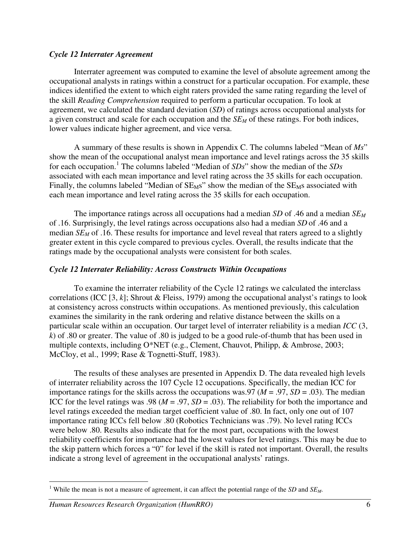#### *Cycle 12 Interrater Agreement*

Interrater agreement was computed to examine the level of absolute agreement among the occupational analysts in ratings within a construct for a particular occupation. For example, these indices identified the extent to which eight raters provided the same rating regarding the level of the skill *Reading Comprehension* required to perform a particular occupation. To look at agreement, we calculated the standard deviation (*SD*) of ratings across occupational analysts for a given construct and scale for each occupation and the *SE<sup>M</sup>* of these ratings. For both indices, lower values indicate higher agreement, and vice versa.

A summary of these results is shown in Appendix C. The columns labeled "Mean of *Ms*" show the mean of the occupational analyst mean importance and level ratings across the 35 skills for each occupation.<sup>1</sup> The columns labeled "Median of *SDs*" show the median of the *SDs* associated with each mean importance and level rating across the 35 skills for each occupation. Finally, the columns labeled "Median of  $SE_{M}s$ " show the median of the  $SE_{M}s$  associated with each mean importance and level rating across the 35 skills for each occupation.

The importance ratings across all occupations had a median *SD* of .46 and a median *SE<sup>M</sup>* of .16. Surprisingly, the level ratings across occupations also had a median *SD* of .46 and a median *SE<sub>M</sub>* of .16. These results for importance and level reveal that raters agreed to a slightly greater extent in this cycle compared to previous cycles. Overall, the results indicate that the ratings made by the occupational analysts were consistent for both scales.

#### *Cycle 12 Interrater Reliability: Across Constructs Within Occupations*

To examine the interrater reliability of the Cycle 12 ratings we calculated the interclass correlations (ICC [3, *k*]; Shrout & Fleiss, 1979) among the occupational analyst's ratings to look at consistency across constructs within occupations. As mentioned previously, this calculation examines the similarity in the rank ordering and relative distance between the skills on a particular scale within an occupation. Our target level of interrater reliability is a median *ICC* (3, *k*) of .80 or greater. The value of .80 is judged to be a good rule-of-thumb that has been used in multiple contexts, including O\*NET (e.g., Clement, Chauvot, Philipp, & Ambrose, 2003; McCloy, et al., 1999; Rase & Tognetti-Stuff, 1983).

The results of these analyses are presented in Appendix D. The data revealed high levels of interrater reliability across the 107 Cycle 12 occupations. Specifically, the median ICC for importance ratings for the skills across the occupations was.97 ( $M = .97$ ,  $SD = .03$ ). The median ICC for the level ratings was .98 ( $M = .97$ ,  $SD = .03$ ). The reliability for both the importance and level ratings exceeded the median target coefficient value of .80. In fact, only one out of 107 importance rating ICCs fell below .80 (Robotics Technicians was .79). No level rating ICCs were below .80. Results also indicate that for the most part, occupations with the lowest reliability coefficients for importance had the lowest values for level ratings. This may be due to the skip pattern which forces a "0" for level if the skill is rated not important. Overall, the results indicate a strong level of agreement in the occupational analysts' ratings.

#### *Human Resources Research Organization (HumRRO)* 6

 $\overline{a}$ 

<sup>&</sup>lt;sup>1</sup> While the mean is not a measure of agreement, it can affect the potential range of the *SD* and  $SE_M$ .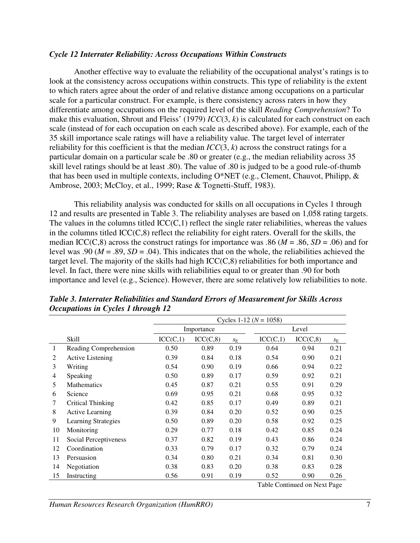#### *Cycle 12 Interrater Reliability: Across Occupations Within Constructs*

Another effective way to evaluate the reliability of the occupational analyst's ratings is to look at the consistency across occupations within constructs. This type of reliability is the extent to which raters agree about the order of and relative distance among occupations on a particular scale for a particular construct. For example, is there consistency across raters in how they differentiate among occupations on the required level of the skill *Reading Comprehension*? To make this evaluation, Shrout and Fleiss' (1979) *ICC*(3, *k*) is calculated for each construct on each scale (instead of for each occupation on each scale as described above). For example, each of the 35 skill importance scale ratings will have a reliability value. The target level of interrater reliability for this coefficient is that the median  $ICC(3, k)$  across the construct ratings for a particular domain on a particular scale be .80 or greater (e.g., the median reliability across 35 skill level ratings should be at least .80). The value of .80 is judged to be a good rule-of-thumb that has been used in multiple contexts, including O\*NET (e.g., Clement, Chauvot, Philipp, & Ambrose, 2003; McCloy, et al., 1999; Rase & Tognetti-Stuff, 1983).

This reliability analysis was conducted for skills on all occupations in Cycles 1 through 12 and results are presented in Table 3. The reliability analyses are based on 1,058 rating targets. The values in the columns titled  $ICC(C,1)$  reflect the single rater reliabilities, whereas the values in the columns titled ICC(C,8) reflect the reliability for eight raters. Overall for the skills, the median ICC(C,8) across the construct ratings for importance was .86 ( $M = .86$ ,  $SD = .06$ ) and for level was .90 ( $M = .89$ ,  $SD = .04$ ). This indicates that on the whole, the reliabilities achieved the target level. The majority of the skills had high ICC(C,8) reliabilities for both importance and level. In fact, there were nine skills with reliabilities equal to or greater than .90 for both importance and level (e.g., Science). However, there are some relatively low reliabilities to note.

|    |                            | Cycles 1-12 ( $N = 1058$ ) |            |             |          |           |             |  |  |  |  |
|----|----------------------------|----------------------------|------------|-------------|----------|-----------|-------------|--|--|--|--|
|    |                            |                            | Importance |             |          |           |             |  |  |  |  |
|    | <b>Skill</b>               | ICC(C,1)                   | ICC(C, 8)  | $S_{\rm E}$ | ICC(C,1) | ICC(C, 8) | $S_{\rm E}$ |  |  |  |  |
| 1  | Reading Comprehension      | 0.50                       | 0.89       | 0.19        | 0.64     | 0.94      | 0.21        |  |  |  |  |
| 2  | <b>Active Listening</b>    | 0.39                       | 0.84       | 0.18        | 0.54     | 0.90      | 0.21        |  |  |  |  |
| 3  | Writing                    | 0.54                       | 0.90       | 0.19        | 0.66     | 0.94      | 0.22        |  |  |  |  |
| 4  | Speaking                   | 0.50                       | 0.89       | 0.17        | 0.59     | 0.92      | 0.21        |  |  |  |  |
| 5  | <b>Mathematics</b>         | 0.45                       | 0.87       | 0.21        | 0.55     | 0.91      | 0.29        |  |  |  |  |
| 6  | Science                    | 0.69                       | 0.95       | 0.21        | 0.68     | 0.95      | 0.32        |  |  |  |  |
| 7  | Critical Thinking          | 0.42                       | 0.85       | 0.17        | 0.49     | 0.89      | 0.21        |  |  |  |  |
| 8  | <b>Active Learning</b>     | 0.39                       | 0.84       | 0.20        | 0.52     | 0.90      | 0.25        |  |  |  |  |
| 9  | <b>Learning Strategies</b> | 0.50                       | 0.89       | 0.20        | 0.58     | 0.92      | 0.25        |  |  |  |  |
| 10 | Monitoring                 | 0.29                       | 0.77       | 0.18        | 0.42     | 0.85      | 0.24        |  |  |  |  |
| 11 | Social Perceptiveness      | 0.37                       | 0.82       | 0.19        | 0.43     | 0.86      | 0.24        |  |  |  |  |
| 12 | Coordination               | 0.33                       | 0.79       | 0.17        | 0.32     | 0.79      | 0.24        |  |  |  |  |
| 13 | Persuasion                 | 0.34                       | 0.80       | 0.21        | 0.34     | 0.81      | 0.30        |  |  |  |  |
| 14 | Negotiation                | 0.38                       | 0.83       | 0.20        | 0.38     | 0.83      | 0.28        |  |  |  |  |
| 15 | Instructing                | 0.56                       | 0.91       | 0.19        | 0.52     | 0.90      | 0.26        |  |  |  |  |

*Table 3. Interrater Reliabilities and Standard Errors of Measurement for Skills Across Occupations in Cycles 1 through 12* 

Table Continued on Next Page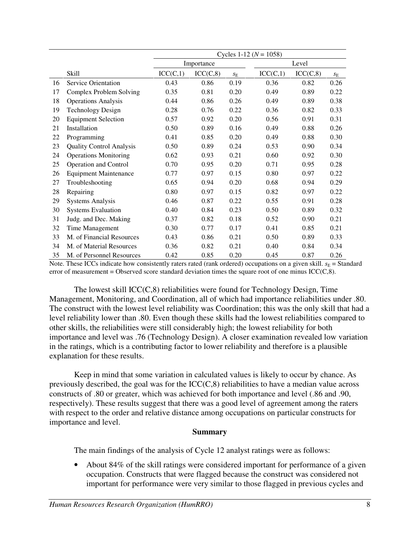|    |                                 | Cycles 1-12 ( $N = 1058$ ) |            |             |          |           |             |  |  |  |
|----|---------------------------------|----------------------------|------------|-------------|----------|-----------|-------------|--|--|--|
|    |                                 |                            | Importance |             | Level    |           |             |  |  |  |
|    | <b>Skill</b>                    | ICC(C,1)                   | ICC(C, 8)  | $S_{\rm E}$ | ICC(C,1) | ICC(C, 8) | $S_{\rm E}$ |  |  |  |
| 16 | Service Orientation             | 0.43                       | 0.86       | 0.19        | 0.36     | 0.82      | 0.26        |  |  |  |
| 17 | Complex Problem Solving         | 0.35                       | 0.81       | 0.20        | 0.49     | 0.89      | 0.22        |  |  |  |
| 18 | <b>Operations Analysis</b>      | 0.44                       | 0.86       | 0.26        | 0.49     | 0.89      | 0.38        |  |  |  |
| 19 | <b>Technology Design</b>        | 0.28                       | 0.76       | 0.22        | 0.36     | 0.82      | 0.33        |  |  |  |
| 20 | <b>Equipment Selection</b>      | 0.57                       | 0.92       | 0.20        | 0.56     | 0.91      | 0.31        |  |  |  |
| 21 | Installation                    | 0.50                       | 0.89       | 0.16        | 0.49     | 0.88      | 0.26        |  |  |  |
| 22 | Programming                     | 0.41                       | 0.85       | 0.20        | 0.49     | 0.88      | 0.30        |  |  |  |
| 23 | <b>Quality Control Analysis</b> | 0.50                       | 0.89       | 0.24        | 0.53     | 0.90      | 0.34        |  |  |  |
| 24 | <b>Operations Monitoring</b>    | 0.62                       | 0.93       | 0.21        | 0.60     | 0.92      | 0.30        |  |  |  |
| 25 | <b>Operation and Control</b>    | 0.70                       | 0.95       | 0.20        | 0.71     | 0.95      | 0.28        |  |  |  |
| 26 | <b>Equipment Maintenance</b>    | 0.77                       | 0.97       | 0.15        | 0.80     | 0.97      | 0.22        |  |  |  |
| 27 | Troubleshooting                 | 0.65                       | 0.94       | 0.20        | 0.68     | 0.94      | 0.29        |  |  |  |
| 28 | Repairing                       | 0.80                       | 0.97       | 0.15        | 0.82     | 0.97      | 0.22        |  |  |  |
| 29 | <b>Systems Analysis</b>         | 0.46                       | 0.87       | 0.22        | 0.55     | 0.91      | 0.28        |  |  |  |
| 30 | <b>Systems Evaluation</b>       | 0.40                       | 0.84       | 0.23        | 0.50     | 0.89      | 0.32        |  |  |  |
| 31 | Judg. and Dec. Making           | 0.37                       | 0.82       | 0.18        | 0.52     | 0.90      | 0.21        |  |  |  |
| 32 | Time Management                 | 0.30                       | 0.77       | 0.17        | 0.41     | 0.85      | 0.21        |  |  |  |
| 33 | M. of Financial Resources       | 0.43                       | 0.86       | 0.21        | 0.50     | 0.89      | 0.33        |  |  |  |
| 34 | M. of Material Resources        | 0.36                       | 0.82       | 0.21        | 0.40     | 0.84      | 0.34        |  |  |  |
| 35 | M. of Personnel Resources       | 0.42                       | 0.85       | 0.20        | 0.45     | 0.87      | 0.26        |  |  |  |

Note. These ICCs indicate how consistently raters rated (rank ordered) occupations on a given skill.  $s_E =$  Standard error of measurement = Observed score standard deviation times the square root of one minus  $\text{ICC}(C,8)$ .

The lowest skill ICC(C,8) reliabilities were found for Technology Design, Time Management, Monitoring, and Coordination, all of which had importance reliabilities under .80. The construct with the lowest level reliability was Coordination; this was the only skill that had a level reliability lower than .80. Even though these skills had the lowest reliabilities compared to other skills, the reliabilities were still considerably high; the lowest reliability for both importance and level was .76 (Technology Design). A closer examination revealed low variation in the ratings, which is a contributing factor to lower reliability and therefore is a plausible explanation for these results.

Keep in mind that some variation in calculated values is likely to occur by chance. As previously described, the goal was for the  $ICC(C,8)$  reliabilities to have a median value across constructs of .80 or greater, which was achieved for both importance and level (.86 and .90, respectively). These results suggest that there was a good level of agreement among the raters with respect to the order and relative distance among occupations on particular constructs for importance and level.

#### **Summary**

The main findings of the analysis of Cycle 12 analyst ratings were as follows:

• About 84% of the skill ratings were considered important for performance of a given occupation. Constructs that were flagged because the construct was considered not important for performance were very similar to those flagged in previous cycles and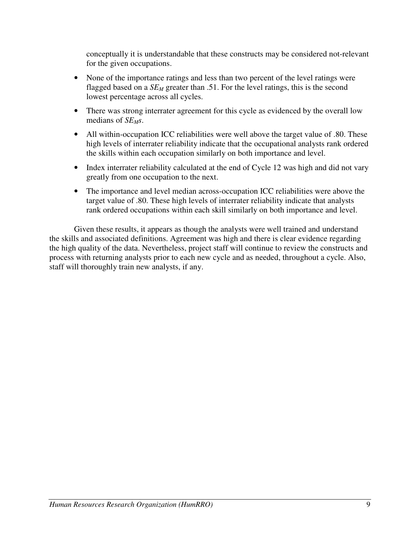conceptually it is understandable that these constructs may be considered not-relevant for the given occupations.

- None of the importance ratings and less than two percent of the level ratings were flagged based on a *SEM* greater than .51. For the level ratings, this is the second lowest percentage across all cycles.
- There was strong interrater agreement for this cycle as evidenced by the overall low medians of *SE<sub>M</sub>s*.
- All within-occupation ICC reliabilities were well above the target value of .80. These high levels of interrater reliability indicate that the occupational analysts rank ordered the skills within each occupation similarly on both importance and level.
- Index interrater reliability calculated at the end of Cycle 12 was high and did not vary greatly from one occupation to the next.
- The importance and level median across-occupation ICC reliabilities were above the target value of .80. These high levels of interrater reliability indicate that analysts rank ordered occupations within each skill similarly on both importance and level.

Given these results, it appears as though the analysts were well trained and understand the skills and associated definitions. Agreement was high and there is clear evidence regarding the high quality of the data. Nevertheless, project staff will continue to review the constructs and process with returning analysts prior to each new cycle and as needed, throughout a cycle. Also, staff will thoroughly train new analysts, if any.